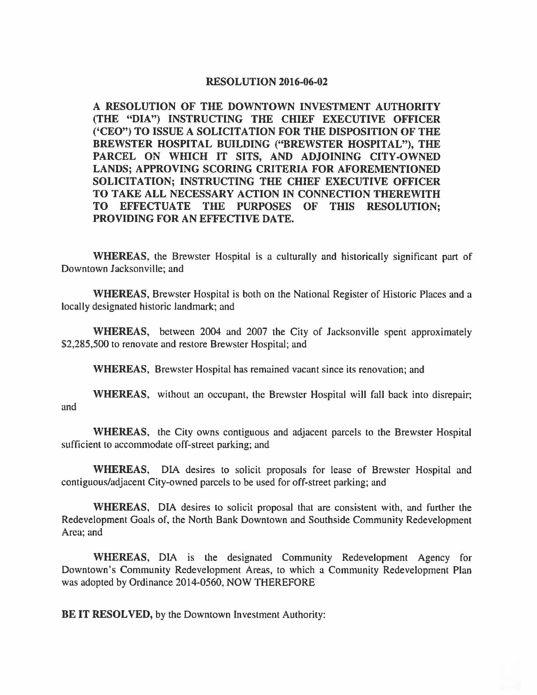## **RESOLUTION 2016-06-02**

**A RESOLUTION OF THE DOWNTOWN INVESTMENT AUTHORITY (THE "DIA") INSTRUCTING THE CHIEF EXECUTIVE OFFICER {'CEO") TO ISSUE A SOLICITATION FOR THE DISPOSITION OF THE BREWSTER HOSPITAL BUILDING ("BREWSTER HOSPITAL"), THE PARCEL ON WHICH IT SITS, AND ADJOINING CITY-OWNED LANDS; APPROVING SCORING CRITERIA FOR AFOREMENTIONED SOLICITATION; INSTRUCTING THE CHIEF EXECUTIVE OFFICER TO TAKE ALL NECESSARY ACTION IN CONNECTION THEREWITH TO EFFECTUATE THE PURPOSES OF THIS RESOLUTION; PROVIDING FOR AN EFFECTIVE DATE.** 

**WHEREAS,** the Brewster Hospital is a culturally and historically significant part of Downtown Jacksonville; and

**WHEREAS,** Brewster Hospital is both on the National Register of Historic Places and a locally designated historic landmark; and

**WHEREAS,** between 2004 and 2007 the City of Jacksonville spent approximately \$2,285,500 to renovate and restore Brewster Hospital; and

**WHEREAS,** Brewster Hospital has remained vacant since its renovation; and

**WHEREAS,** without an occupant, the Brewster Hospital will fall back into disrepair; and

**WHEREAS,** the City owns contiguous and adjacent parcels to the Brewster Hospital sufficient to accommodate off-street parking; and

**WHEREAS,** DIA desires to solicit proposals for lease of Brewster Hospital and contiguous/adjacent City-owned parcels to be used for off-street parking; and

**WHEREAS, DIA** desires to solicit proposal that are consistent with, and further the Redevelopment Goals of, the North Bank Downtown and Southside Community Redevelopment Area; and

**WHEREAS,** DIA is the designated Community Redevelopment Agency for Downtown's Community Redevelopment Areas, to which a Community Redevelopment Plan was adopted by Ordinance 2014-0560, NOW THEREFORE

**BE IT RESOLVED, by the Downtown Investment Authority:**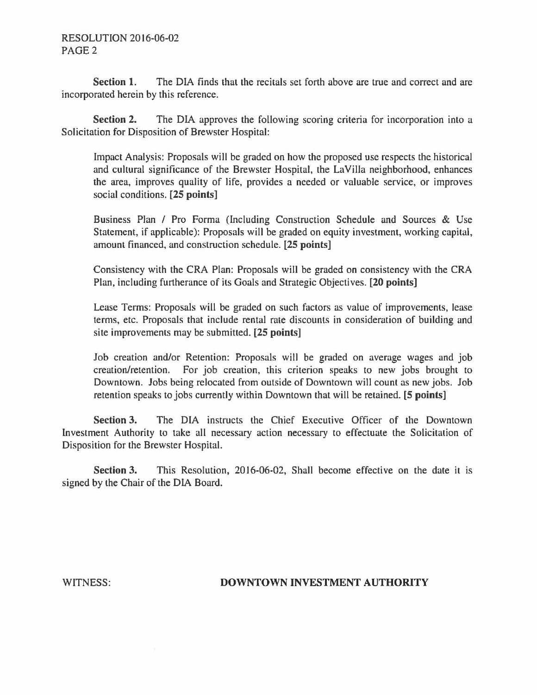## RESOLUTION 2016-06-02 PAGE2

**Section 1.** The DIA finds that the recitals set forth above are true and correct and are incorporated herein by this reference.

**Section 2.** The DIA approves the following scoring criteria for incorporation into a Solicitation for Disposition of Brewster Hospital:

Impact Analysis: Proposals will be graded on how the proposed use respects the historical and cultural significance of the Brewster Hospital, the LaVilla neighborhood, enhances the area, improves quality of life, provides a needed or valuable service, or improves social conditions. **[25 points]** 

Business Plan / Pro Forma (Including Construction Schedule and Sources & Use Statement, if applicable): Proposals will be graded on equity investment, working capital, amount financed, and construction schedule. **(25 points]** 

Consistency with the CRA Plan: Proposals will be graded on consistency with the CRA Plan, including furtherance of its Goals and Strategic Objectives. **[20 points]** 

Lease Terms: Proposals will be graded on such factors as value of improvements, lease terms, etc. Proposals that include rental rate discounts in consideration of building and site improvements may be submitted. **[25 points]** 

Job creation and/or Retention: Proposals will be graded on average wages and job creation/retention. For job creation, this criterion speaks to new jobs brought to Downtown. Jobs being relocated from outside of Downtown will count as new jobs. Job retention speaks to jobs currently within Downtown that will be retained. **[5 points]** 

**Section 3.** The DIA instructs the Chief Executive Officer of the Downtown Investment Authority to take all necessary action necessary to effectuate the Solicitation of Disposition for the Brewster Hospital.

**Section 3.** This Resolution, 2016-06-02, Shall become effective on the date it is signed by the Chair of the DIA Board.

## WITNESS: **DOWNTOWN INVESTMENT AUTHORITY**